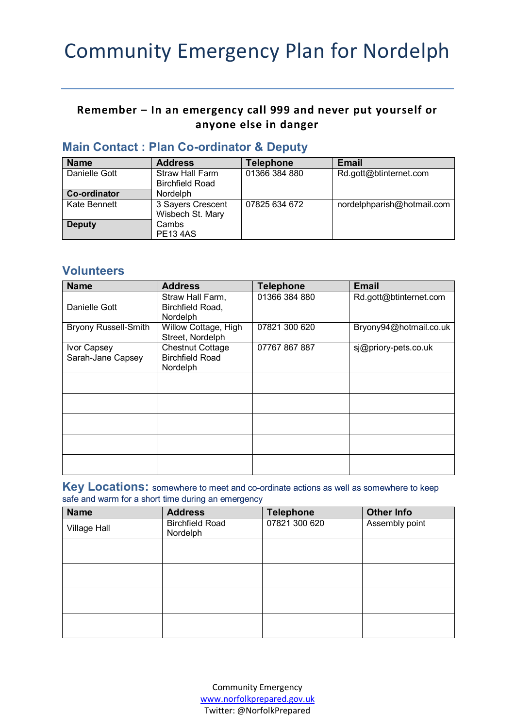# Community Emergency Plan for Nordelph

#### **Remember – In an emergency call 999 and never put yourself or anyone else in danger**

| <b>Name</b>   | <b>Address</b>                                   | <b>Telephone</b> | <b>Email</b>               |  |
|---------------|--------------------------------------------------|------------------|----------------------------|--|
| Danielle Gott | <b>Straw Hall Farm</b><br><b>Birchfield Road</b> | 01366 384 880    | Rd.gott@btinternet.com     |  |
|               |                                                  |                  |                            |  |
| Co-ordinator  | Nordelph                                         |                  |                            |  |
| Kate Bennett  | 3 Sayers Crescent                                | 07825 634 672    | nordelphparish@hotmail.com |  |
|               | Wisbech St. Mary                                 |                  |                            |  |
| <b>Deputy</b> | Cambs                                            |                  |                            |  |
|               | <b>PE13 4AS</b>                                  |                  |                            |  |

#### **Main Contact : Plan Co-ordinator & Deputy**

#### **Volunteers**

| <b>Name</b>                      | <b>Address</b>                                                | <b>Telephone</b> | <b>Email</b>           |
|----------------------------------|---------------------------------------------------------------|------------------|------------------------|
| Danielle Gott                    | Straw Hall Farm,<br>Birchfield Road,<br>Nordelph              | 01366 384 880    | Rd.gott@btinternet.com |
| <b>Bryony Russell-Smith</b>      | Willow Cottage, High<br>Street, Nordelph                      | 07821 300 620    | Bryony94@hotmail.co.uk |
| Ivor Capsey<br>Sarah-Jane Capsey | <b>Chestnut Cottage</b><br><b>Birchfield Road</b><br>Nordelph | 07767 867 887    | si@priory-pets.co.uk   |
|                                  |                                                               |                  |                        |
|                                  |                                                               |                  |                        |
|                                  |                                                               |                  |                        |
|                                  |                                                               |                  |                        |
|                                  |                                                               |                  |                        |

**Key Locations:** somewhere to meet and co-ordinate actions as well as somewhere to keep safe and warm for a short time during an emergency

| <b>Name</b>         | <b>Address</b>                     | <b>Telephone</b> | <b>Other Info</b> |
|---------------------|------------------------------------|------------------|-------------------|
| <b>Village Hall</b> | <b>Birchfield Road</b><br>Nordelph | 07821 300 620    | Assembly point    |
|                     |                                    |                  |                   |
|                     |                                    |                  |                   |
|                     |                                    |                  |                   |
|                     |                                    |                  |                   |

Community Emergency [www.norfolkprepared.gov.uk](http://www.norfolkprepared.gov.uk/) Twitter: @NorfolkPrepared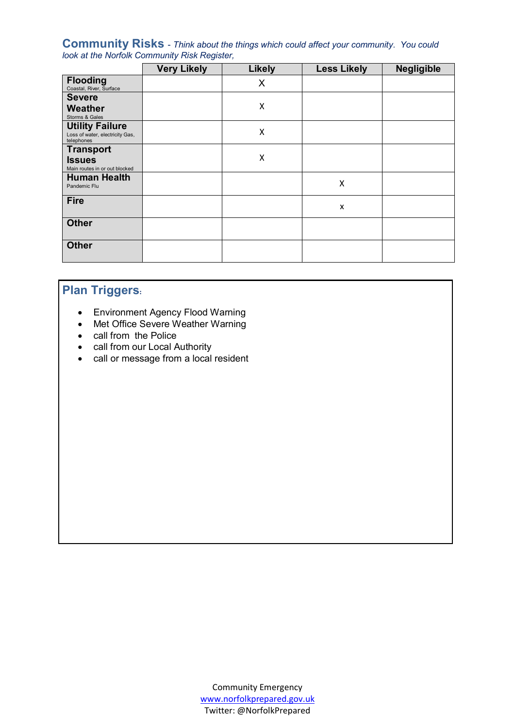**Community Risks** - *Think about the things which could affect your community. You could look at the Norfolk Community Risk Register,*

|                                                                         | <b>Very Likely</b> | <b>Likely</b> | <b>Less Likely</b> | <b>Negligible</b> |
|-------------------------------------------------------------------------|--------------------|---------------|--------------------|-------------------|
| <b>Flooding</b><br>Coastal, River, Surface                              |                    | X             |                    |                   |
| <b>Severe</b><br><b>Weather</b><br>Storms & Gales                       |                    | Χ             |                    |                   |
| <b>Utility Failure</b><br>Loss of water, electricity Gas,<br>telephones |                    | Χ             |                    |                   |
| <b>Transport</b><br><b>Issues</b><br>Main routes in or out blocked      |                    | X             |                    |                   |
| <b>Human Health</b><br>Pandemic Flu                                     |                    |               | Χ                  |                   |
| <b>Fire</b>                                                             |                    |               | X                  |                   |
| <b>Other</b>                                                            |                    |               |                    |                   |
| <b>Other</b>                                                            |                    |               |                    |                   |

# **Plan Triggers:**

- Environment Agency Flood Warning
- Met Office Severe Weather Warning
- call from the Police
- call from our Local Authority
- call or message from a local resident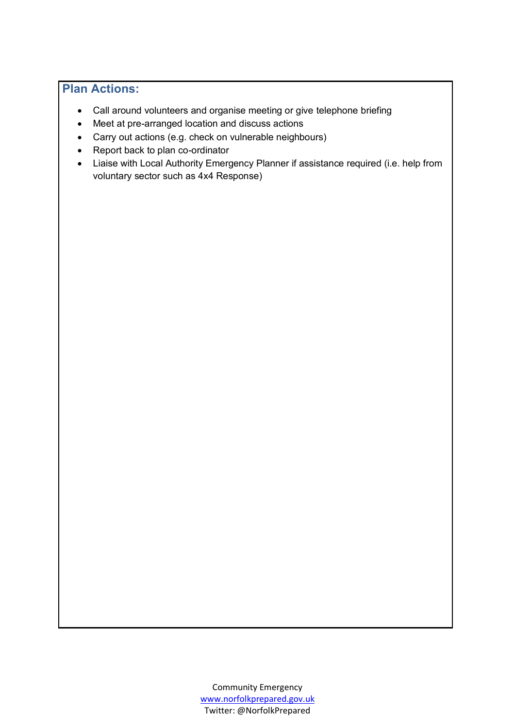## **Plan Actions:**

- Call around volunteers and organise meeting or give telephone briefing
- Meet at pre-arranged location and discuss actions
- Carry out actions (e.g. check on vulnerable neighbours)
- Report back to plan co-ordinator
- Liaise with Local Authority Emergency Planner if assistance required (i.e. help from voluntary sector such as 4x4 Response)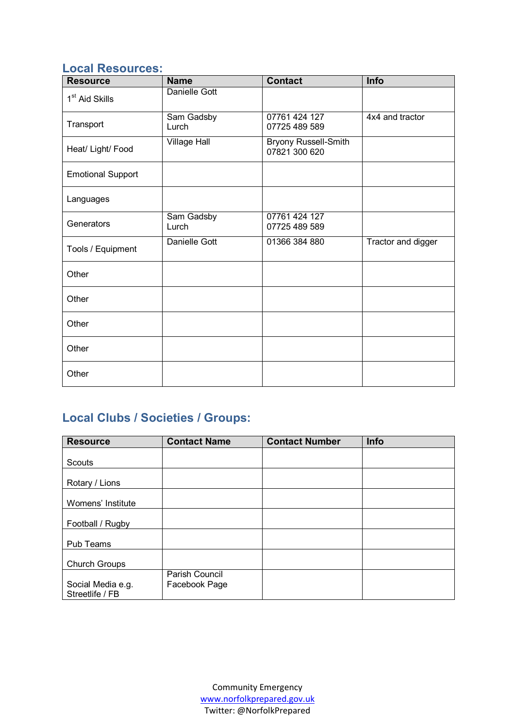## **Local Resources:**

| <b>Resource</b>            | <b>Name</b>         | <b>Contact</b>                               | Info               |
|----------------------------|---------------------|----------------------------------------------|--------------------|
| 1 <sup>st</sup> Aid Skills | Danielle Gott       |                                              |                    |
| Transport                  | Sam Gadsby<br>Lurch | 07761 424 127<br>07725 489 589               | 4x4 and tractor    |
| Heat/ Light/ Food          | <b>Village Hall</b> | <b>Bryony Russell-Smith</b><br>07821 300 620 |                    |
| <b>Emotional Support</b>   |                     |                                              |                    |
| Languages                  |                     |                                              |                    |
| Generators                 | Sam Gadsby<br>Lurch | 07761 424 127<br>07725 489 589               |                    |
| Tools / Equipment          | Danielle Gott       | 01366 384 880                                | Tractor and digger |
| Other                      |                     |                                              |                    |
| Other                      |                     |                                              |                    |
| Other                      |                     |                                              |                    |
| Other                      |                     |                                              |                    |
| Other                      |                     |                                              |                    |

# **Local Clubs / Societies / Groups:**

| <b>Resource</b>                      | <b>Contact Name</b>             | <b>Contact Number</b> | Info |
|--------------------------------------|---------------------------------|-----------------------|------|
|                                      |                                 |                       |      |
| Scouts                               |                                 |                       |      |
| Rotary / Lions                       |                                 |                       |      |
| Womens' Institute                    |                                 |                       |      |
| Football / Rugby                     |                                 |                       |      |
| Pub Teams                            |                                 |                       |      |
| <b>Church Groups</b>                 |                                 |                       |      |
| Social Media e.g.<br>Streetlife / FB | Parish Council<br>Facebook Page |                       |      |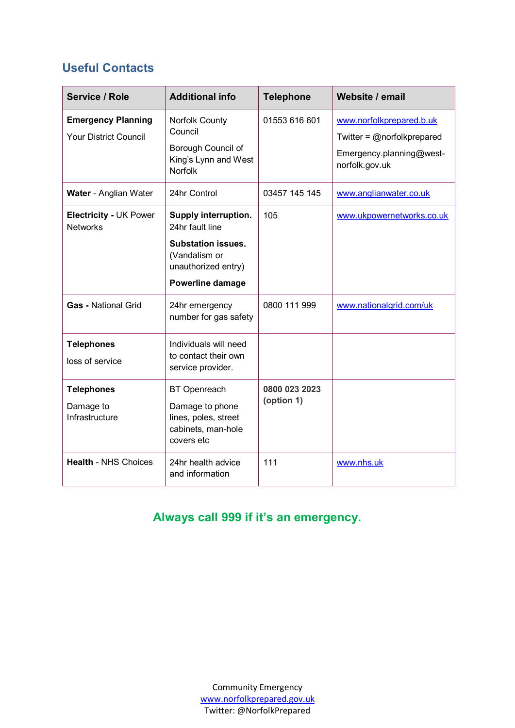## **Useful Contacts**

| Service / Role                                            | <b>Additional info</b>                                                                                       | <b>Telephone</b>            | Website / email                                                                                         |
|-----------------------------------------------------------|--------------------------------------------------------------------------------------------------------------|-----------------------------|---------------------------------------------------------------------------------------------------------|
| <b>Emergency Planning</b><br><b>Your District Council</b> | Norfolk County<br>Council<br>Borough Council of<br>King's Lynn and West<br><b>Norfolk</b>                    | 01553 616 601               | www.norfolkprepared.b.uk<br>Twitter = $@$ norfolkprepared<br>Emergency.planning@west-<br>norfolk.gov.uk |
| Water - Anglian Water                                     | 24hr Control                                                                                                 | 03457 145 145               | www.anglianwater.co.uk                                                                                  |
| Electricity - UK Power<br><b>Networks</b>                 | Supply interruption.<br>24hr fault line<br><b>Substation issues.</b><br>(Vandalism or<br>unauthorized entry) | 105                         | www.ukpowernetworks.co.uk                                                                               |
|                                                           | Powerline damage                                                                                             |                             |                                                                                                         |
| <b>Gas - National Grid</b>                                | 24hr emergency<br>number for gas safety                                                                      | 0800 111 999                | www.nationalgrid.com/uk                                                                                 |
| <b>Telephones</b><br>loss of service                      | Individuals will need<br>to contact their own<br>service provider.                                           |                             |                                                                                                         |
| <b>Telephones</b><br>Damage to<br>Infrastructure          | <b>BT</b> Openreach<br>Damage to phone<br>lines, poles, street<br>cabinets, man-hole<br>covers etc           | 0800 023 2023<br>(option 1) |                                                                                                         |
| <b>Health - NHS Choices</b>                               | 24hr health advice<br>and information                                                                        | 111                         | www.nhs.uk                                                                                              |

# **Always call 999 if it's an emergency.**